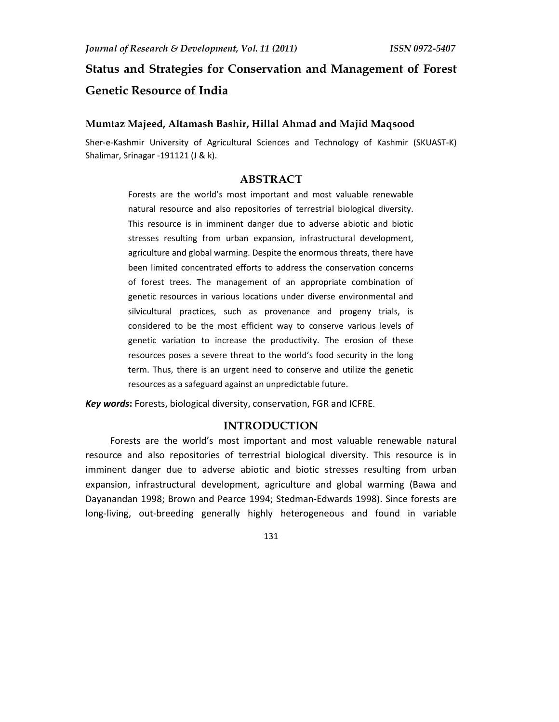# **Status and Strategies for Conservation and Management of Forest Genetic Resource of India**

#### **Mumtaz Majeed, Altamash Bashir, Hillal Ahmad and Majid Maqsood**

Sher-e-Kashmir University of Agricultural Sciences and Technology of Kashmir (SKUAST-K) Shalimar, Srinagar -191121 (J & k).

#### **ABSTRACT**

Forests are the world's most important and most valuable renewable natural resource and also repositories of terrestrial biological diversity. This resource is in imminent danger due to adverse abiotic and biotic stresses resulting from urban expansion, infrastructural development, agriculture and global warming. Despite the enormous threats, there have been limited concentrated efforts to address the conservation concerns of forest trees. The management of an appropriate combination of genetic resources in various locations under diverse environmental and silvicultural practices, such as provenance and progeny trials, is considered to be the most efficient way to conserve various levels of genetic variation to increase the productivity. The erosion of these resources poses a severe threat to the world's food security in the long term. Thus, there is an urgent need to conserve and utilize the genetic resources as a safeguard against an unpredictable future.

*Key words***:** Forests, biological diversity, conservation, FGR and ICFRE.

## **INTRODUCTION**

Forests are the world's most important and most valuable renewable natural resource and also repositories of terrestrial biological diversity. This resource is in imminent danger due to adverse abiotic and biotic stresses resulting from urban expansion, infrastructural development, agriculture and global warming (Bawa and Dayanandan 1998; Brown and Pearce 1994; Stedman-Edwards 1998). Since forests are long-living, out-breeding generally highly heterogeneous and found in variable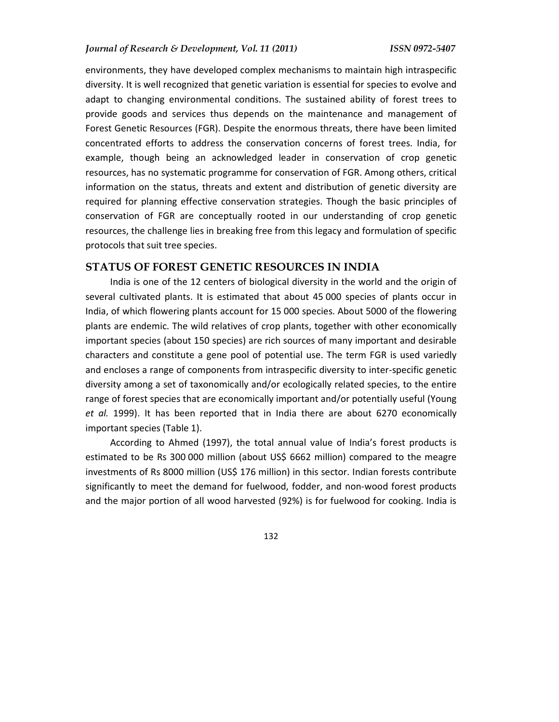environments, they have developed complex mechanisms to maintain high intraspecific diversity. It is well recognized that genetic variation is essential for species to evolve and adapt to changing environmental conditions. The sustained ability of forest trees to provide goods and services thus depends on the maintenance and management of Forest Genetic Resources (FGR). Despite the enormous threats, there have been limited concentrated efforts to address the conservation concerns of forest trees. India, for example, though being an acknowledged leader in conservation of crop genetic resources, has no systematic programme for conservation of FGR. Among others, critical information on the status, threats and extent and distribution of genetic diversity are required for planning effective conservation strategies. Though the basic principles of conservation of FGR are conceptually rooted in our understanding of crop genetic resources, the challenge lies in breaking free from this legacy and formulation of specific protocols that suit tree species.

#### **STATUS OF FOREST GENETIC RESOURCES IN INDIA**

India is one of the 12 centers of biological diversity in the world and the origin of several cultivated plants. It is estimated that about 45 000 species of plants occur in India, of which flowering plants account for 15 000 species. About 5000 of the flowering plants are endemic. The wild relatives of crop plants, together with other economically important species (about 150 species) are rich sources of many important and desirable characters and constitute a gene pool of potential use. The term FGR is used variedly and encloses a range of components from intraspecific diversity to inter-specific genetic diversity among a set of taxonomically and/or ecologically related species, to the entire range of forest species that are economically important and/or potentially useful (Young *et al.* 1999). It has been reported that in India there are about 6270 economically important species (Table 1).

According to Ahmed (1997), the total annual value of India's forest products is estimated to be Rs 300 000 million (about US\$ 6662 million) compared to the meagre investments of Rs 8000 million (US\$ 176 million) in this sector. Indian forests contribute significantly to meet the demand for fuelwood, fodder, and non-wood forest products and the major portion of all wood harvested (92%) is for fuelwood for cooking. India is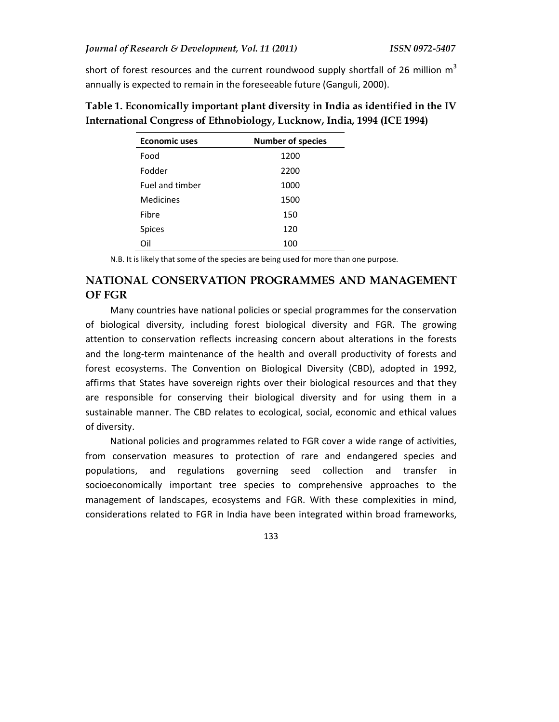short of forest resources and the current roundwood supply shortfall of 26 million  $m<sup>3</sup>$ annually is expected to remain in the foreseeable future (Ganguli, 2000).

| <b>Economic uses</b> | <b>Number of species</b> |
|----------------------|--------------------------|
| Food                 | 1200                     |
| Fodder               | 2200                     |
| Fuel and timber      | 1000                     |
| Medicines            | 1500                     |
| Fibre                | 150                      |
| Spices               | 120                      |
| Ωil                  | 100                      |

**Table 1. Economically important plant diversity in India as identified in the IV International Congress of Ethnobiology, Lucknow, India, 1994 (ICE 1994)** 

N.B. It is likely that some of the species are being used for more than one purpose.

# **NATIONAL CONSERVATION PROGRAMMES AND MANAGEMENT OF FGR**

Many countries have national policies or special programmes for the conservation of biological diversity, including forest biological diversity and FGR. The growing attention to conservation reflects increasing concern about alterations in the forests and the long-term maintenance of the health and overall productivity of forests and forest ecosystems. The Convention on Biological Diversity (CBD), adopted in 1992, affirms that States have sovereign rights over their biological resources and that they are responsible for conserving their biological diversity and for using them in a sustainable manner. The CBD relates to ecological, social, economic and ethical values of diversity.

National policies and programmes related to FGR cover a wide range of activities, from conservation measures to protection of rare and endangered species and populations, and regulations governing seed collection and transfer in socioeconomically important tree species to comprehensive approaches to the management of landscapes, ecosystems and FGR. With these complexities in mind, considerations related to FGR in India have been integrated within broad frameworks,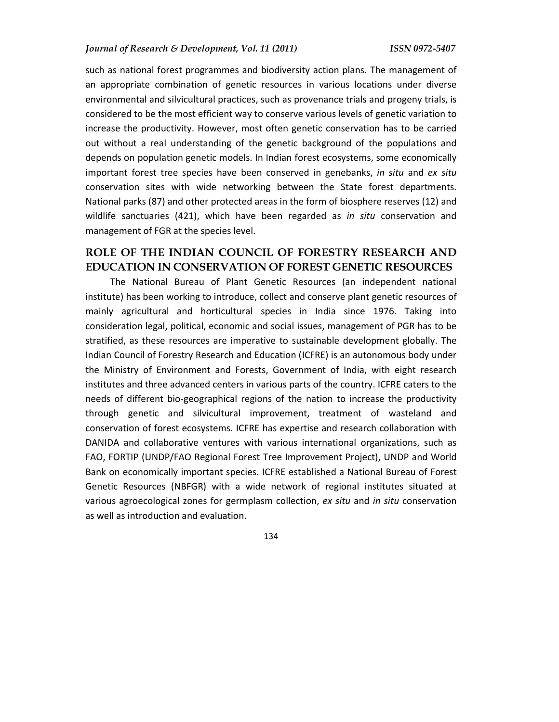such as national forest programmes and biodiversity action plans. The management of an appropriate combination of genetic resources in various locations under diverse environmental and silvicultural practices, such as provenance trials and progeny trials, is considered to be the most efficient way to conserve various levels of genetic variation to increase the productivity. However, most often genetic conservation has to be carried out without a real understanding of the genetic background of the populations and depends on population genetic models. In Indian forest ecosystems, some economically important forest tree species have been conserved in genebanks, *in situ* and *ex situ*  conservation sites with wide networking between the State forest departments. National parks (87) and other protected areas in the form of biosphere reserves (12) and wildlife sanctuaries (421), which have been regarded as *in situ* conservation and management of FGR at the species level.

## **ROLE OF THE INDIAN COUNCIL OF FORESTRY RESEARCH AND EDUCATION IN CONSERVATION OF FOREST GENETIC RESOURCES**

The National Bureau of Plant Genetic Resources (an independent national institute) has been working to introduce, collect and conserve plant genetic resources of mainly agricultural and horticultural species in India since 1976. Taking into consideration legal, political, economic and social issues, management of PGR has to be stratified, as these resources are imperative to sustainable development globally. The Indian Council of Forestry Research and Education (ICFRE) is an autonomous body under the Ministry of Environment and Forests, Government of India, with eight research institutes and three advanced centers in various parts of the country. ICFRE caters to the needs of different bio-geographical regions of the nation to increase the productivity through genetic and silvicultural improvement, treatment of wasteland and conservation of forest ecosystems. ICFRE has expertise and research collaboration with DANIDA and collaborative ventures with various international organizations, such as FAO, FORTIP (UNDP/FAO Regional Forest Tree Improvement Project), UNDP and World Bank on economically important species. ICFRE established a National Bureau of Forest Genetic Resources (NBFGR) with a wide network of regional institutes situated at various agroecological zones for germplasm collection, *ex situ* and *in situ* conservation as well as introduction and evaluation.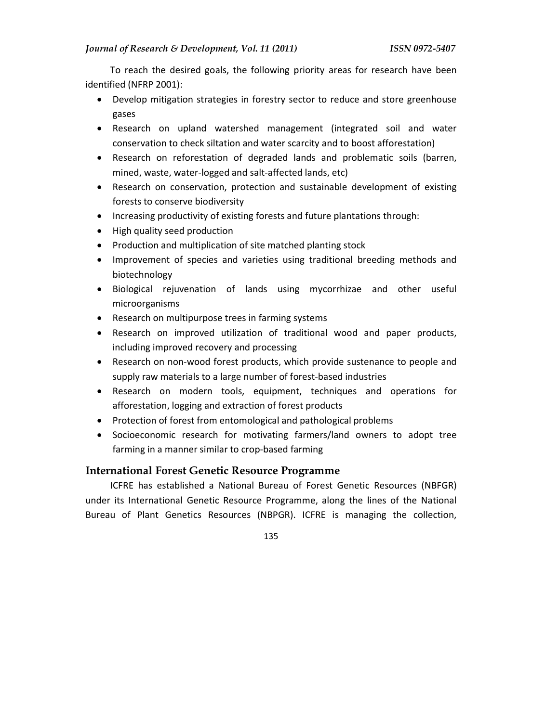To reach the desired goals, the following priority areas for research have been identified (NFRP 2001):

- Develop mitigation strategies in forestry sector to reduce and store greenhouse gases
- Research on upland watershed management (integrated soil and water conservation to check siltation and water scarcity and to boost afforestation)
- Research on reforestation of degraded lands and problematic soils (barren, mined, waste, water-logged and salt-affected lands, etc)
- Research on conservation, protection and sustainable development of existing forests to conserve biodiversity
- Increasing productivity of existing forests and future plantations through:
- High quality seed production
- Production and multiplication of site matched planting stock
- Improvement of species and varieties using traditional breeding methods and biotechnology
- Biological rejuvenation of lands using mycorrhizae and other useful microorganisms
- Research on multipurpose trees in farming systems
- Research on improved utilization of traditional wood and paper products, including improved recovery and processing
- Research on non-wood forest products, which provide sustenance to people and supply raw materials to a large number of forest-based industries
- Research on modern tools, equipment, techniques and operations for afforestation, logging and extraction of forest products
- Protection of forest from entomological and pathological problems
- Socioeconomic research for motivating farmers/land owners to adopt tree farming in a manner similar to crop-based farming

## **International Forest Genetic Resource Programme**

ICFRE has established a National Bureau of Forest Genetic Resources (NBFGR) under its International Genetic Resource Programme, along the lines of the National Bureau of Plant Genetics Resources (NBPGR). ICFRE is managing the collection,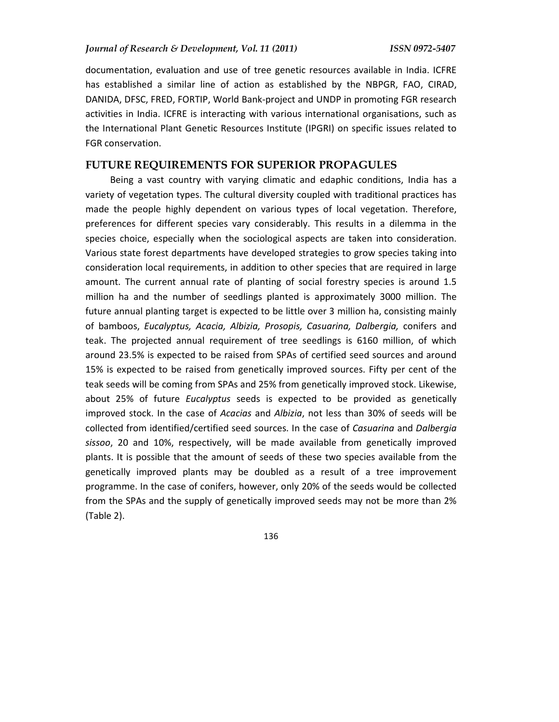documentation, evaluation and use of tree genetic resources available in India. ICFRE has established a similar line of action as established by the NBPGR, FAO, CIRAD, DANIDA, DFSC, FRED, FORTIP, World Bank-project and UNDP in promoting FGR research activities in India. ICFRE is interacting with various international organisations, such as the International Plant Genetic Resources Institute (IPGRI) on specific issues related to FGR conservation.

## **FUTURE REQUIREMENTS FOR SUPERIOR PROPAGULES**

Being a vast country with varying climatic and edaphic conditions, India has a variety of vegetation types. The cultural diversity coupled with traditional practices has made the people highly dependent on various types of local vegetation. Therefore, preferences for different species vary considerably. This results in a dilemma in the species choice, especially when the sociological aspects are taken into consideration. Various state forest departments have developed strategies to grow species taking into consideration local requirements, in addition to other species that are required in large amount. The current annual rate of planting of social forestry species is around 1.5 million ha and the number of seedlings planted is approximately 3000 million. The future annual planting target is expected to be little over 3 million ha, consisting mainly of bamboos, *Eucalyptus, Acacia, Albizia, Prosopis, Casuarina, Dalbergia,* conifers and teak. The projected annual requirement of tree seedlings is 6160 million, of which around 23.5% is expected to be raised from SPAs of certified seed sources and around 15% is expected to be raised from genetically improved sources. Fifty per cent of the teak seeds will be coming from SPAs and 25% from genetically improved stock. Likewise, about 25% of future *Eucalyptus* seeds is expected to be provided as genetically improved stock. In the case of *Acacias* and *Albizia*, not less than 30% of seeds will be collected from identified/certified seed sources. In the case of *Casuarina* and *Dalbergia sissoo*, 20 and 10%, respectively, will be made available from genetically improved plants. It is possible that the amount of seeds of these two species available from the genetically improved plants may be doubled as a result of a tree improvement programme. In the case of conifers, however, only 20% of the seeds would be collected from the SPAs and the supply of genetically improved seeds may not be more than 2% (Table 2).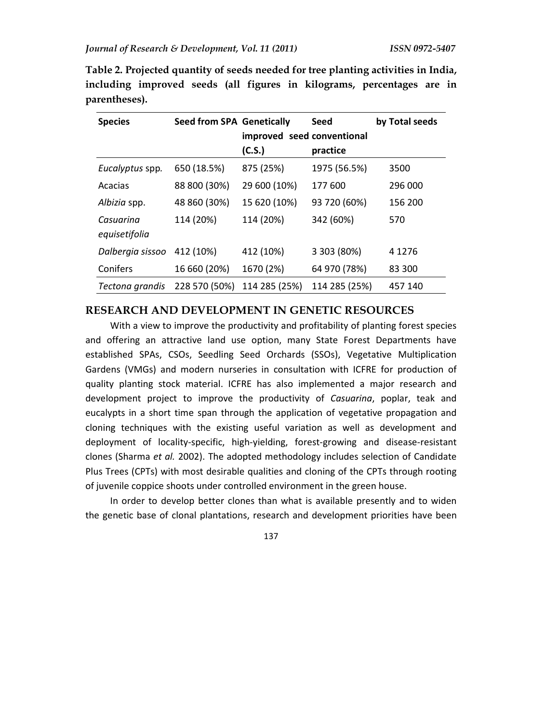**Table 2. Projected quantity of seeds needed for tree planting activities in India, including improved seeds (all figures in kilograms, percentages are in parentheses).** 

| <b>Species</b>   | <b>Seed from SPA Genetically</b> |               | Seed                       | by Total seeds |
|------------------|----------------------------------|---------------|----------------------------|----------------|
|                  |                                  |               | improved seed conventional |                |
|                  |                                  | (C.S.)        | practice                   |                |
| Eucalyptus spp.  | 650 (18.5%)                      | 875 (25%)     | 1975 (56.5%)               | 3500           |
| Acacias          | 88 800 (30%)                     | 29 600 (10%)  | 177 600                    | 296 000        |
| Albizia spp.     | 48 860 (30%)                     | 15 620 (10%)  | 93 720 (60%)               | 156 200        |
| Casuarina        | 114 (20%)                        | 114 (20%)     | 342 (60%)                  | 570            |
| equisetifolia    |                                  |               |                            |                |
| Dalbergia sissoo | 412 (10%)                        | 412 (10%)     | 3 303 (80%)                | 4 1 2 7 6      |
| Conifers         | 16 660 (20%)                     | 1670 (2%)     | 64 970 (78%)               | 83 300         |
| Tectona grandis  | 228 570 (50%)                    | 114 285 (25%) | 114 285 (25%)              | 457 140        |

## **RESEARCH AND DEVELOPMENT IN GENETIC RESOURCES**

With a view to improve the productivity and profitability of planting forest species and offering an attractive land use option, many State Forest Departments have established SPAs, CSOs, Seedling Seed Orchards (SSOs), Vegetative Multiplication Gardens (VMGs) and modern nurseries in consultation with ICFRE for production of quality planting stock material. ICFRE has also implemented a major research and development project to improve the productivity of *Casuarina*, poplar, teak and eucalypts in a short time span through the application of vegetative propagation and cloning techniques with the existing useful variation as well as development and deployment of locality-specific, high-yielding, forest-growing and disease-resistant clones (Sharma *et al.* 2002). The adopted methodology includes selection of Candidate Plus Trees (CPTs) with most desirable qualities and cloning of the CPTs through rooting of juvenile coppice shoots under controlled environment in the green house.

In order to develop better clones than what is available presently and to widen the genetic base of clonal plantations, research and development priorities have been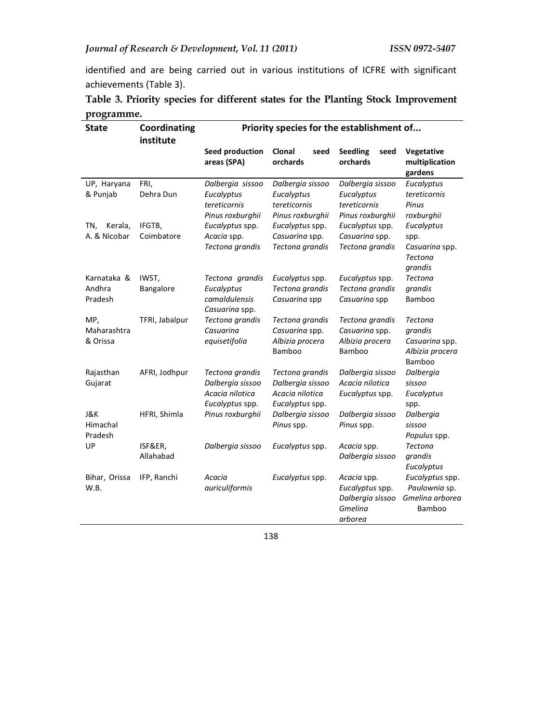identified and are being carried out in various institutions of ICFRE with significant achievements (Table 3).

|            |  |  |  | Table 3. Priority species for different states for the Planting Stock Improvement |
|------------|--|--|--|-----------------------------------------------------------------------------------|
| programme. |  |  |  |                                                                                   |

| <b>State</b>                     | Coordinating<br>institute | Priority species for the establishment of                                 |                                                                                                              |                                                                          |                                                                          |  |
|----------------------------------|---------------------------|---------------------------------------------------------------------------|--------------------------------------------------------------------------------------------------------------|--------------------------------------------------------------------------|--------------------------------------------------------------------------|--|
|                                  |                           | Seed production<br>areas (SPA)                                            | <b>Clonal</b><br>seed<br>orchards                                                                            | <b>Seedling</b><br>seed<br>orchards                                      | Vegetative<br>multiplication<br>gardens                                  |  |
| UP, Haryana<br>& Punjab          | FRI,<br>Dehra Dun         | Dalbergia sissoo<br>Eucalyptus<br>tereticornis<br>Pinus roxburghii        | Dalbergia sissoo<br>Eucalyptus<br>tereticornis<br>Pinus roxburghii                                           | Dalbergia sissoo<br>Eucalyptus<br>tereticornis<br>Pinus roxburghii       | Eucalyptus<br>tereticornis<br>Pinus<br>roxburghii                        |  |
| Kerala,<br>TN,<br>A. & Nicobar   | IFGTB,<br>Coimbatore      | Eucalyptus spp.<br>Acacia spp.<br>Tectona grandis                         | Eucalyptus spp.<br>Eucalyptus spp.<br>Casuarina spp.<br>Casuarina spp.<br>Tectona grandis<br>Tectona grandis |                                                                          | Eucalyptus<br>spp.<br>Casuarina spp.<br><b>Tectona</b><br>grandis        |  |
| Karnataka &<br>Andhra<br>Pradesh | IWST,<br>Bangalore        | Tectona grandis<br>Eucalyptus<br>camaldulensis<br>Casuarina spp.          | Eucalyptus spp.<br>Tectona grandis<br>Casuarina spp                                                          | Eucalyptus spp.<br>Tectona grandis<br>Casuarina spp                      | Tectona<br>grandis<br>Bamboo                                             |  |
| MP,<br>Maharashtra<br>& Orissa   | TFRI, Jabalpur            | Tectona grandis<br>Casuarina<br>equisetifolia                             | Tectona grandis<br>Casuarina spp.<br>Albizia procera<br>Bamboo                                               | Tectona grandis<br>Casuarina spp.<br>Albizia procera<br>Bamboo           | <b>Tectona</b><br>grandis<br>Casuarina spp.<br>Albizia procera<br>Bamboo |  |
| Rajasthan<br>Gujarat             | AFRI, Jodhpur             | Tectona grandis<br>Dalbergia sissoo<br>Acacia nilotica<br>Eucalyptus spp. | Tectona grandis<br>Dalbergia sissoo<br>Acacia nilotica<br>Eucalyptus spp.                                    | Dalbergia sissoo<br>Acacia nilotica<br>Eucalyptus spp.                   | Dalbergia<br>sissoo<br>Eucalyptus<br>spp.                                |  |
| J&K<br>Himachal<br>Pradesh       | HFRI, Shimla              | Pinus roxburghii                                                          | Dalbergia sissoo<br>Pinus spp.                                                                               | Dalbergia sissoo<br>Pinus spp.                                           | Dalbergia<br>sissoo<br>Populus spp.                                      |  |
| UP                               | ISF&ER,<br>Allahabad      | Dalbergia sissoo                                                          | Eucalyptus spp.                                                                                              | Acacia spp.<br>Dalbergia sissoo                                          | <b>Tectona</b><br>grandis<br>Eucalyptus                                  |  |
| Bihar, Orissa<br>W.B.            | IFP, Ranchi               | Acacia<br>auriculiformis                                                  | Eucalyptus spp.                                                                                              | Acacia spp.<br>Eucalyptus spp.<br>Dalbergia sissoo<br>Gmelina<br>arborea | Eucalyptus spp.<br>Paulownia sp.<br>Gmelina arborea<br><b>Bamboo</b>     |  |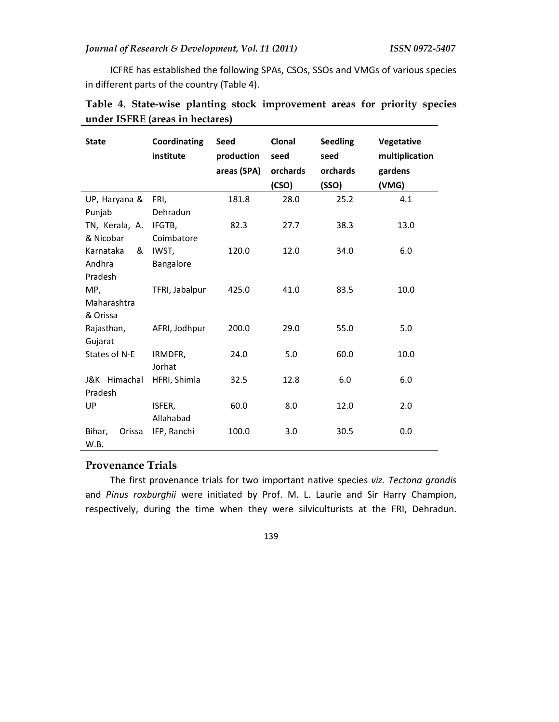ICFRE has established the following SPAs, CSOs, SSOs and VMGs of various species in different parts of the country (Table 4).

| <b>State</b>     | Coordinating<br>institute | <b>Seed</b><br>production<br>areas (SPA) | Clonal<br>seed<br>orchards<br>(CSO) | <b>Seedling</b><br>seed<br>orchards<br>(SSO) | Vegetative<br>multiplication<br>gardens<br>(VMG) |
|------------------|---------------------------|------------------------------------------|-------------------------------------|----------------------------------------------|--------------------------------------------------|
| UP, Haryana &    | FRI,                      | 181.8                                    | 28.0                                | 25.2                                         | 4.1                                              |
| Punjab           | Dehradun                  |                                          |                                     |                                              |                                                  |
| TN, Kerala, A.   | IFGTB,                    | 82.3                                     | 27.7                                | 38.3                                         | 13.0                                             |
| & Nicobar        | Coimbatore                |                                          |                                     |                                              |                                                  |
| Karnataka<br>&   | IWST,                     | 120.0                                    | 12.0                                | 34.0                                         | 6.0                                              |
| Andhra           | Bangalore                 |                                          |                                     |                                              |                                                  |
| Pradesh          |                           |                                          |                                     |                                              |                                                  |
| MP,              | TFRI, Jabalpur            | 425.0                                    | 41.0                                | 83.5                                         | 10.0                                             |
| Maharashtra      |                           |                                          |                                     |                                              |                                                  |
| & Orissa         |                           |                                          |                                     |                                              |                                                  |
| Rajasthan,       | AFRI, Jodhpur             | 200.0                                    | 29.0                                | 55.0                                         | 5.0                                              |
| Gujarat          |                           |                                          |                                     |                                              |                                                  |
| States of N-E    | IRMDFR,                   | 24.0                                     | 5.0                                 | 60.0                                         | 10.0                                             |
|                  | Jorhat                    |                                          |                                     |                                              |                                                  |
| J&K Himachal     | HFRI, Shimla              | 32.5                                     | 12.8                                | 6.0                                          | 6.0                                              |
| Pradesh          |                           |                                          |                                     |                                              |                                                  |
| UP               | ISFER,                    | 60.0                                     | 8.0                                 | 12.0                                         | 2.0                                              |
|                  | Allahabad                 |                                          |                                     |                                              |                                                  |
| Bihar,<br>Orissa | IFP, Ranchi               | 100.0                                    | 3.0                                 | 30.5                                         | 0.0                                              |
| W.B.             |                           |                                          |                                     |                                              |                                                  |

|  |                                 |  | Table 4. State-wise planting stock improvement areas for priority species |  |  |
|--|---------------------------------|--|---------------------------------------------------------------------------|--|--|
|  | under ISFRE (areas in hectares) |  |                                                                           |  |  |

## **Provenance Trials**

The first provenance trials for two important native species *viz. Tectona grandis* and *Pinus roxburghii* were initiated by Prof. M. L. Laurie and Sir Harry Champion, respectively, during the time when they were silviculturists at the FRI, Dehradun.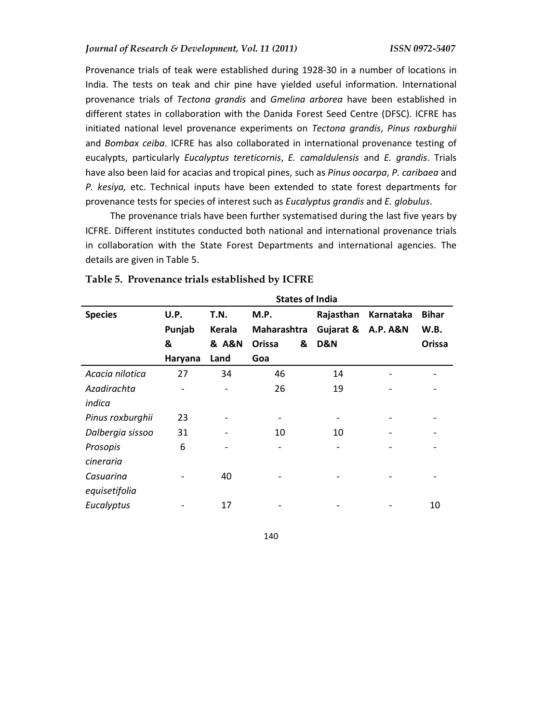Provenance trials of teak were established during 1928-30 in a number of locations in India. The tests on teak and chir pine have yielded useful information. International provenance trials of *Tectona grandis* and *Gmelina arborea* have been established in different states in collaboration with the Danida Forest Seed Centre (DFSC). ICFRE has initiated national level provenance experiments on *Tectona grandis*, *Pinus roxburghii* and *Bombax ceiba*. ICFRE has also collaborated in international provenance testing of eucalypts, particularly *Eucalyptus tereticornis*, *E. camaldulensis* and *E. grandis*. Trials have also been laid for acacias and tropical pines, such as *Pinus oocarpa*, *P. caribaea* and *P. kesiya,* etc. Technical inputs have been extended to state forest departments for provenance tests for species of interest such as *Eucalyptus grandis* and *E. globulus*.

The provenance trials have been further systematised during the last five years by ICFRE. Different institutes conducted both national and international provenance trials in collaboration with the State Forest Departments and international agencies. The details are given in Table 5.

|                  |         |                      | <b>States of India</b> |           |                     |              |
|------------------|---------|----------------------|------------------------|-----------|---------------------|--------------|
| <b>Species</b>   | U.P.    | T.N.                 | M.P.                   | Rajasthan | Karnataka           | <b>Bihar</b> |
|                  | Punjab  | <b>Kerala</b>        | Maharashtra            | Gujarat & | <b>A.P. A&amp;N</b> | W.B.         |
|                  | &       | <b>&amp; A&amp;N</b> | Orissa<br>&            | D&N       |                     | Orissa       |
|                  | Haryana | Land                 | Goa                    |           |                     |              |
| Acacia nilotica  | 27      | 34                   | 46                     | 14        |                     |              |
| Azadirachta      |         | -                    | 26                     | 19        |                     |              |
| indica           |         |                      |                        |           |                     |              |
| Pinus roxburghii | 23      |                      |                        |           |                     |              |
| Dalbergia sissoo | 31      |                      | 10                     | 10        |                     |              |
| Prosopis         | 6       |                      |                        |           |                     |              |
| cineraria        |         |                      |                        |           |                     |              |
| Casuarina        |         | 40                   |                        |           |                     |              |
| equisetifolia    |         |                      |                        |           |                     |              |
| Eucalyptus       |         | 17                   |                        |           |                     | 10           |

#### **Table 5. Provenance trials established by ICFRE**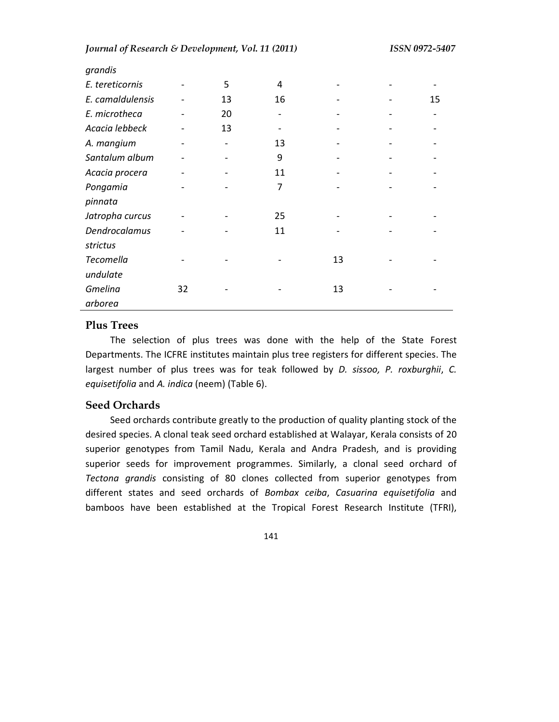| grandis          |    |    |    |    |    |
|------------------|----|----|----|----|----|
| E. tereticornis  |    | 5  | 4  |    |    |
| E. camaldulensis |    | 13 | 16 |    | 15 |
| E. microtheca    |    | 20 |    |    |    |
| Acacia lebbeck   |    | 13 |    |    |    |
| A. mangium       |    |    | 13 |    |    |
| Santalum album   |    |    | 9  |    |    |
| Acacia procera   |    |    | 11 |    |    |
| Pongamia         |    |    | 7  |    |    |
| pinnata          |    |    |    |    |    |
| Jatropha curcus  |    |    | 25 |    |    |
| Dendrocalamus    |    |    | 11 |    |    |
| strictus         |    |    |    |    |    |
| Tecomella        |    |    |    | 13 |    |
| undulate         |    |    |    |    |    |
| <b>Gmelina</b>   | 32 |    |    | 13 |    |
| arborea          |    |    |    |    |    |

#### **Plus Trees**

The selection of plus trees was done with the help of the State Forest Departments. The ICFRE institutes maintain plus tree registers for different species. The largest number of plus trees was for teak followed by *D. sissoo, P. roxburghii*, *C. equisetifolia* and *A. indica* (neem) (Table 6).

## **Seed Orchards**

Seed orchards contribute greatly to the production of quality planting stock of the desired species. A clonal teak seed orchard established at Walayar, Kerala consists of 20 superior genotypes from Tamil Nadu, Kerala and Andra Pradesh, and is providing superior seeds for improvement programmes. Similarly, a clonal seed orchard of *Tectona grandis* consisting of 80 clones collected from superior genotypes from different states and seed orchards of *Bombax ceiba*, *Casuarina equisetifolia* and bamboos have been established at the Tropical Forest Research Institute (TFRI),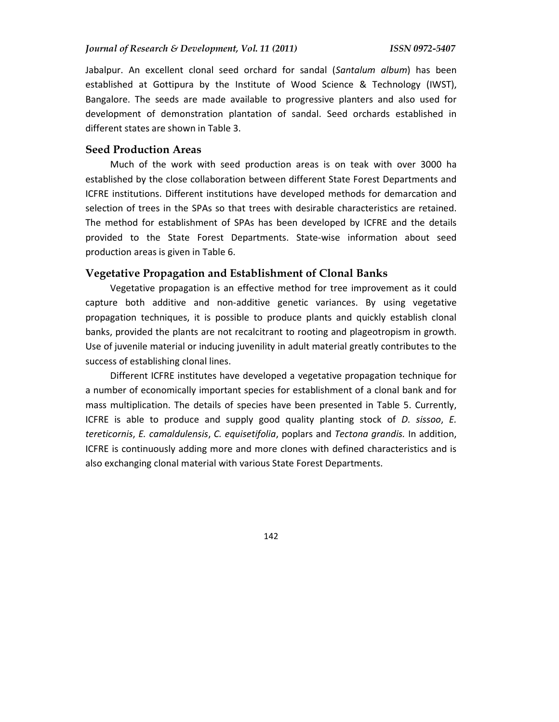Jabalpur. An excellent clonal seed orchard for sandal (*Santalum album*) has been established at Gottipura by the Institute of Wood Science & Technology (IWST), Bangalore. The seeds are made available to progressive planters and also used for development of demonstration plantation of sandal. Seed orchards established in different states are shown in Table 3.

#### **Seed Production Areas**

Much of the work with seed production areas is on teak with over 3000 ha established by the close collaboration between different State Forest Departments and ICFRE institutions. Different institutions have developed methods for demarcation and selection of trees in the SPAs so that trees with desirable characteristics are retained. The method for establishment of SPAs has been developed by ICFRE and the details provided to the State Forest Departments. State-wise information about seed production areas is given in Table 6.

#### **Vegetative Propagation and Establishment of Clonal Banks**

Vegetative propagation is an effective method for tree improvement as it could capture both additive and non-additive genetic variances. By using vegetative propagation techniques, it is possible to produce plants and quickly establish clonal banks, provided the plants are not recalcitrant to rooting and plageotropism in growth. Use of juvenile material or inducing juvenility in adult material greatly contributes to the success of establishing clonal lines.

Different ICFRE institutes have developed a vegetative propagation technique for a number of economically important species for establishment of a clonal bank and for mass multiplication. The details of species have been presented in Table 5. Currently, ICFRE is able to produce and supply good quality planting stock of *D. sissoo*, *E. tereticornis*, *E. camaldulensis*, *C. equisetifolia*, poplars and *Tectona grandis.* In addition, ICFRE is continuously adding more and more clones with defined characteristics and is also exchanging clonal material with various State Forest Departments.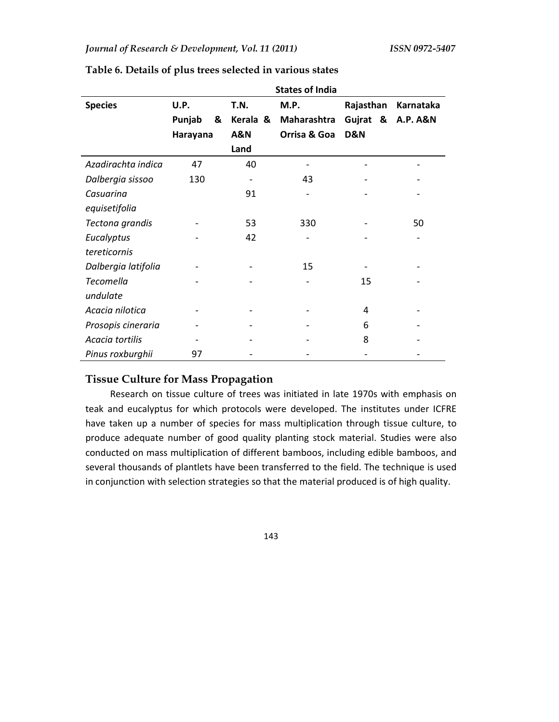|                     | <b>States of India</b> |                |              |                |                     |  |  |
|---------------------|------------------------|----------------|--------------|----------------|---------------------|--|--|
| <b>Species</b>      | U.P.                   | T.N.           | M.P.         | Rajasthan      | Karnataka           |  |  |
|                     | Punjab<br>&            | Kerala &       | Maharashtra  | Gujrat &       | <b>A.P. A&amp;N</b> |  |  |
|                     | Harayana               | <b>A&amp;N</b> | Orrisa & Goa | <b>D&amp;N</b> |                     |  |  |
|                     |                        | Land           |              |                |                     |  |  |
| Azadirachta indica  | 47                     | 40             |              |                |                     |  |  |
| Dalbergia sissoo    | 130                    |                | 43           |                |                     |  |  |
| Casuarina           |                        | 91             |              |                |                     |  |  |
| equisetifolia       |                        |                |              |                |                     |  |  |
| Tectona grandis     |                        | 53             | 330          |                | 50                  |  |  |
| Eucalyptus          |                        | 42             |              |                |                     |  |  |
| tereticornis        |                        |                |              |                |                     |  |  |
| Dalbergia latifolia |                        |                | 15           |                |                     |  |  |
| Tecomella           |                        |                |              | 15             |                     |  |  |
| undulate            |                        |                |              |                |                     |  |  |
| Acacia nilotica     |                        |                |              | 4              |                     |  |  |
| Prosopis cineraria  |                        |                |              | 6              |                     |  |  |
| Acacia tortilis     |                        |                |              | 8              |                     |  |  |
| Pinus roxburghii    | 97                     |                |              |                |                     |  |  |

#### **Table 6. Details of plus trees selected in various states**

## **Tissue Culture for Mass Propagation**

Research on tissue culture of trees was initiated in late 1970s with emphasis on teak and eucalyptus for which protocols were developed. The institutes under ICFRE have taken up a number of species for mass multiplication through tissue culture, to produce adequate number of good quality planting stock material. Studies were also conducted on mass multiplication of different bamboos, including edible bamboos, and several thousands of plantlets have been transferred to the field. The technique is used in conjunction with selection strategies so that the material produced is of high quality.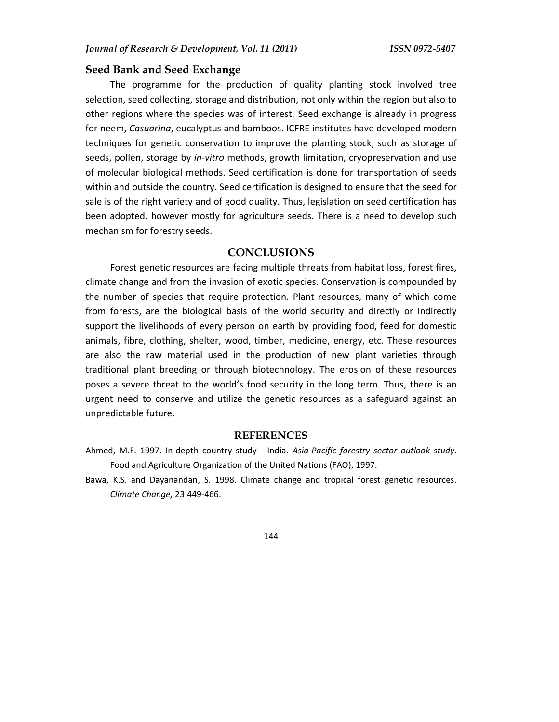#### **Seed Bank and Seed Exchange**

The programme for the production of quality planting stock involved tree selection, seed collecting, storage and distribution, not only within the region but also to other regions where the species was of interest. Seed exchange is already in progress for neem, *Casuarina*, eucalyptus and bamboos. ICFRE institutes have developed modern techniques for genetic conservation to improve the planting stock, such as storage of seeds, pollen, storage by *in-vitro* methods, growth limitation, cryopreservation and use of molecular biological methods. Seed certification is done for transportation of seeds within and outside the country. Seed certification is designed to ensure that the seed for sale is of the right variety and of good quality. Thus, legislation on seed certification has been adopted, however mostly for agriculture seeds. There is a need to develop such mechanism for forestry seeds.

#### **CONCLUSIONS**

Forest genetic resources are facing multiple threats from habitat loss, forest fires, climate change and from the invasion of exotic species. Conservation is compounded by the number of species that require protection. Plant resources, many of which come from forests, are the biological basis of the world security and directly or indirectly support the livelihoods of every person on earth by providing food, feed for domestic animals, fibre, clothing, shelter, wood, timber, medicine, energy, etc. These resources are also the raw material used in the production of new plant varieties through traditional plant breeding or through biotechnology. The erosion of these resources poses a severe threat to the world's food security in the long term. Thus, there is an urgent need to conserve and utilize the genetic resources as a safeguard against an unpredictable future.

#### **REFERENCES**

- Ahmed, M.F. 1997. In-depth country study India. *Asia-Pacific forestry sector outlook study*. Food and Agriculture Organization of the United Nations (FAO), 1997.
- Bawa, K.S. and Dayanandan, S. 1998. Climate change and tropical forest genetic resources. *Climate Change,* 23:449-466.